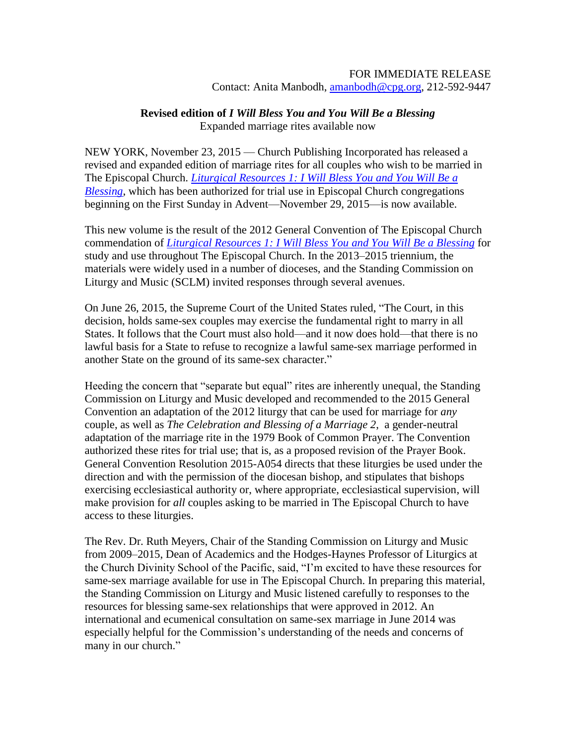## FOR IMMEDIATE RELEASE

Contact: Anita Manbodh, [amanbodh@cpg.org,](mailto:amanbodh@cpg.org) 212-592-9447

## **Revised edition of** *I Will Bless You and You Will Be a Blessing*

Expanded marriage rites available now

NEW YORK, November 23, 2015 — Church Publishing Incorporated has released a revised and expanded edition of marriage rites for all couples who wish to be married in The Episcopal Church. *[Liturgical Resources 1: I Will Bless You](https://www.churchpublishing.org/products/liturgicalresources1) and You Will Be a [Blessing](https://www.churchpublishing.org/products/liturgicalresources1)*, which has been authorized for trial use in Episcopal Church congregations beginning on the First Sunday in Advent—November 29, 2015—is now available.

This new volume is the result of the 2012 General Convention of The Episcopal Church commendation of *[Liturgical Resources 1: I Will Bless You](https://www.churchpublishing.org/products/liturgicalresources1) and You Will Be a Blessing* for study and use throughout The Episcopal Church. In the 2013–2015 triennium, the materials were widely used in a number of dioceses, and the Standing Commission on Liturgy and Music (SCLM) invited responses through several avenues.

On June 26, 2015, the Supreme Court of the United States ruled, "The Court, in this decision, holds same-sex couples may exercise the fundamental right to marry in all States. It follows that the Court must also hold—and it now does hold—that there is no lawful basis for a State to refuse to recognize a lawful same-sex marriage performed in another State on the ground of its same-sex character."

Heeding the concern that "separate but equal" rites are inherently unequal, the Standing Commission on Liturgy and Music developed and recommended to the 2015 General Convention an adaptation of the 2012 liturgy that can be used for marriage for *any* couple, as well as *The Celebration and Blessing of a Marriage 2*, a gender-neutral adaptation of the marriage rite in the 1979 Book of Common Prayer. The Convention authorized these rites for trial use; that is, as a proposed revision of the Prayer Book. General Convention Resolution 2015-A054 directs that these liturgies be used under the direction and with the permission of the diocesan bishop, and stipulates that bishops exercising ecclesiastical authority or, where appropriate, ecclesiastical supervision, will make provision for *all* couples asking to be married in The Episcopal Church to have access to these liturgies.

The Rev. Dr. Ruth Meyers, Chair of the Standing Commission on Liturgy and Music from 2009–2015, Dean of Academics and the Hodges-Haynes Professor of Liturgics at the Church Divinity School of the Pacific, said, "I'm excited to have these resources for same-sex marriage available for use in The Episcopal Church. In preparing this material, the Standing Commission on Liturgy and Music listened carefully to responses to the resources for blessing same-sex relationships that were approved in 2012. An international and ecumenical consultation on same-sex marriage in June 2014 was especially helpful for the Commission's understanding of the needs and concerns of many in our church."